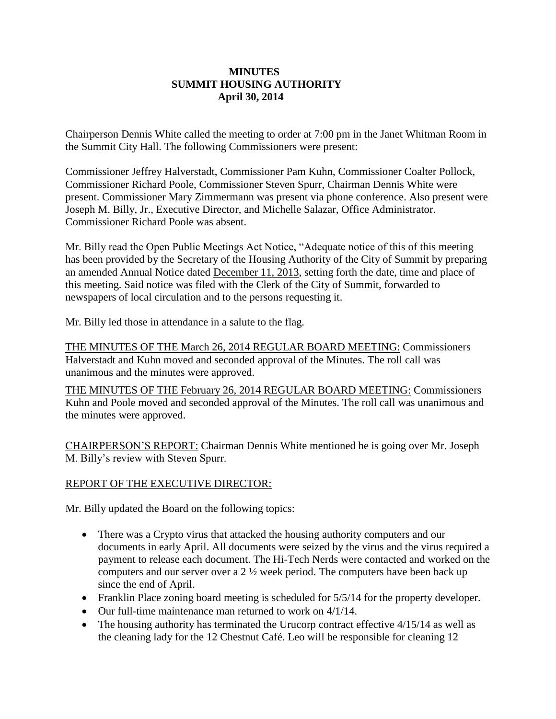## **MINUTES SUMMIT HOUSING AUTHORITY April 30, 2014**

Chairperson Dennis White called the meeting to order at 7:00 pm in the Janet Whitman Room in the Summit City Hall. The following Commissioners were present:

Commissioner Jeffrey Halverstadt, Commissioner Pam Kuhn, Commissioner Coalter Pollock, Commissioner Richard Poole, Commissioner Steven Spurr, Chairman Dennis White were present. Commissioner Mary Zimmermann was present via phone conference. Also present were Joseph M. Billy, Jr., Executive Director, and Michelle Salazar, Office Administrator. Commissioner Richard Poole was absent.

Mr. Billy read the Open Public Meetings Act Notice, "Adequate notice of this of this meeting has been provided by the Secretary of the Housing Authority of the City of Summit by preparing an amended Annual Notice dated December 11, 2013, setting forth the date, time and place of this meeting. Said notice was filed with the Clerk of the City of Summit, forwarded to newspapers of local circulation and to the persons requesting it.

Mr. Billy led those in attendance in a salute to the flag.

THE MINUTES OF THE March 26, 2014 REGULAR BOARD MEETING: Commissioners Halverstadt and Kuhn moved and seconded approval of the Minutes. The roll call was unanimous and the minutes were approved.

THE MINUTES OF THE February 26, 2014 REGULAR BOARD MEETING: Commissioners Kuhn and Poole moved and seconded approval of the Minutes. The roll call was unanimous and the minutes were approved.

CHAIRPERSON'S REPORT: Chairman Dennis White mentioned he is going over Mr. Joseph M. Billy's review with Steven Spurr.

## REPORT OF THE EXECUTIVE DIRECTOR:

Mr. Billy updated the Board on the following topics:

- There was a Crypto virus that attacked the housing authority computers and our documents in early April. All documents were seized by the virus and the virus required a payment to release each document. The Hi-Tech Nerds were contacted and worked on the computers and our server over a 2 ½ week period. The computers have been back up since the end of April.
- Franklin Place zoning board meeting is scheduled for  $5/5/14$  for the property developer.
- Our full-time maintenance man returned to work on 4/1/14.
- The housing authority has terminated the Urucorp contract effective  $4/15/14$  as well as the cleaning lady for the 12 Chestnut Café. Leo will be responsible for cleaning 12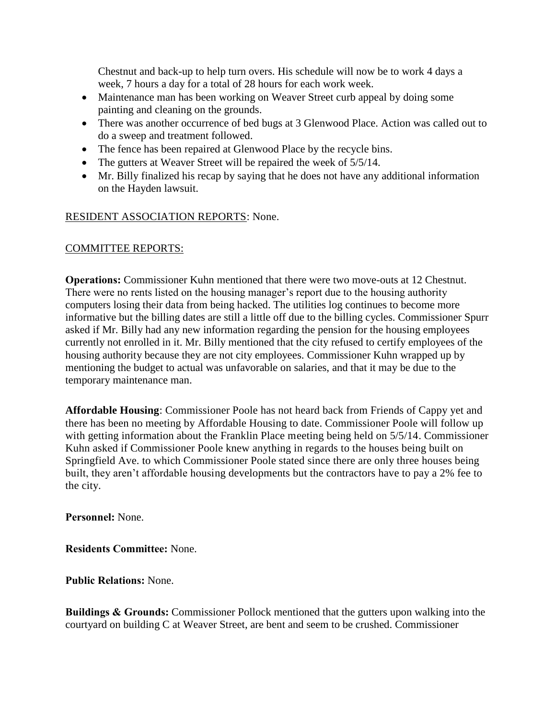Chestnut and back-up to help turn overs. His schedule will now be to work 4 days a week, 7 hours a day for a total of 28 hours for each work week.

- Maintenance man has been working on Weaver Street curb appeal by doing some painting and cleaning on the grounds.
- There was another occurrence of bed bugs at 3 Glenwood Place. Action was called out to do a sweep and treatment followed.
- The fence has been repaired at Glenwood Place by the recycle bins.
- The gutters at Weaver Street will be repaired the week of  $5/5/14$ .
- Mr. Billy finalized his recap by saying that he does not have any additional information on the Hayden lawsuit.

# RESIDENT ASSOCIATION REPORTS: None.

## COMMITTEE REPORTS:

**Operations:** Commissioner Kuhn mentioned that there were two move-outs at 12 Chestnut. There were no rents listed on the housing manager's report due to the housing authority computers losing their data from being hacked. The utilities log continues to become more informative but the billing dates are still a little off due to the billing cycles. Commissioner Spurr asked if Mr. Billy had any new information regarding the pension for the housing employees currently not enrolled in it. Mr. Billy mentioned that the city refused to certify employees of the housing authority because they are not city employees. Commissioner Kuhn wrapped up by mentioning the budget to actual was unfavorable on salaries, and that it may be due to the temporary maintenance man.

**Affordable Housing**: Commissioner Poole has not heard back from Friends of Cappy yet and there has been no meeting by Affordable Housing to date. Commissioner Poole will follow up with getting information about the Franklin Place meeting being held on  $5/5/14$ . Commissioner Kuhn asked if Commissioner Poole knew anything in regards to the houses being built on Springfield Ave. to which Commissioner Poole stated since there are only three houses being built, they aren't affordable housing developments but the contractors have to pay a 2% fee to the city.

**Personnel:** None.

**Residents Committee:** None.

**Public Relations:** None.

**Buildings & Grounds:** Commissioner Pollock mentioned that the gutters upon walking into the courtyard on building C at Weaver Street, are bent and seem to be crushed. Commissioner